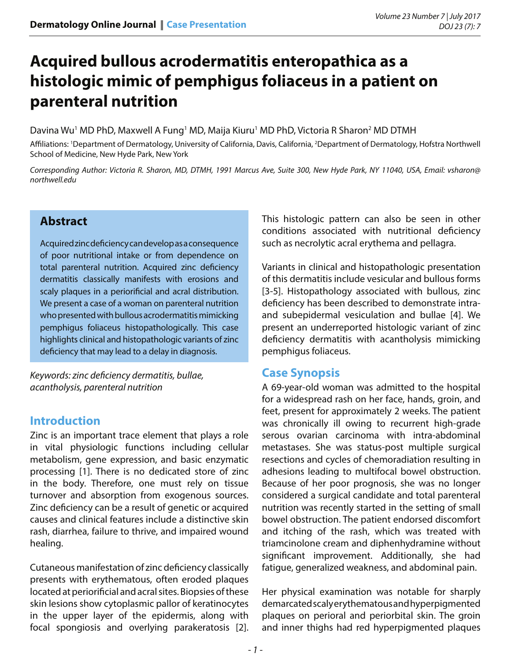# **Acquired bullous acrodermatitis enteropathica as a histologic mimic of pemphigus foliaceus in a patient on parenteral nutrition**

Davina Wu<sup>1</sup> MD PhD, Maxwell A Fung<sup>1</sup> MD, Maija Kiuru<sup>1</sup> MD PhD, Victoria R Sharon<sup>2</sup> MD DTMH

Affiliations: 1 Department of Dermatology, University of California, Davis, California, 2 Department of Dermatology, Hofstra Northwell School of Medicine, New Hyde Park, New York

*Corresponding Author: Victoria R. Sharon, MD, DTMH, 1991 Marcus Ave, Suite 300, New Hyde Park, NY 11040, USA, Email: vsharon@ northwell.edu*

## **Abstract**

Acquired zinc deficiency can develop as a consequence of poor nutritional intake or from dependence on total parenteral nutrition. Acquired zinc deficiency dermatitis classically manifests with erosions and scaly plaques in a periorificial and acral distribution. We present a case of a woman on parenteral nutrition who presented with bullous acrodermatitis mimicking pemphigus foliaceus histopathologically. This case highlights clinical and histopathologic variants of zinc deficiency that may lead to a delay in diagnosis.

*Keywords: zinc deficiency dermatitis, bullae, acantholysis, parenteral nutrition*

## **Introduction**

Zinc is an important trace element that plays a role in vital physiologic functions including cellular metabolism, gene expression, and basic enzymatic processing [1]. There is no dedicated store of zinc in the body. Therefore, one must rely on tissue turnover and absorption from exogenous sources. Zinc deficiency can be a result of genetic or acquired causes and clinical features include a distinctive skin rash, diarrhea, failure to thrive, and impaired wound healing.

Cutaneous manifestation of zinc deficiency classically presents with erythematous, often eroded plaques located at periorificial and acral sites. Biopsies of these skin lesions show cytoplasmic pallor of keratinocytes in the upper layer of the epidermis, along with focal spongiosis and overlying parakeratosis [2].

This histologic pattern can also be seen in other conditions associated with nutritional deficiency such as necrolytic acral erythema and pellagra.

Variants in clinical and histopathologic presentation of this dermatitis include vesicular and bullous forms [3-5]. Histopathology associated with bullous, zinc deficiency has been described to demonstrate intraand subepidermal vesiculation and bullae [4]. We present an underreported histologic variant of zinc deficiency dermatitis with acantholysis mimicking pemphigus foliaceus.

## **Case Synopsis**

A 69-year-old woman was admitted to the hospital for a widespread rash on her face, hands, groin, and feet, present for approximately 2 weeks. The patient was chronically ill owing to recurrent high-grade serous ovarian carcinoma with intra-abdominal metastases. She was status-post multiple surgical resections and cycles of chemoradiation resulting in adhesions leading to multifocal bowel obstruction. Because of her poor prognosis, she was no longer considered a surgical candidate and total parenteral nutrition was recently started in the setting of small bowel obstruction. The patient endorsed discomfort and itching of the rash, which was treated with triamcinolone cream and diphenhydramine without significant improvement. Additionally, she had fatigue, generalized weakness, and abdominal pain.

Her physical examination was notable for sharply demarcated scaly erythematous and hyperpigmented plaques on perioral and periorbital skin. The groin and inner thighs had red hyperpigmented plaques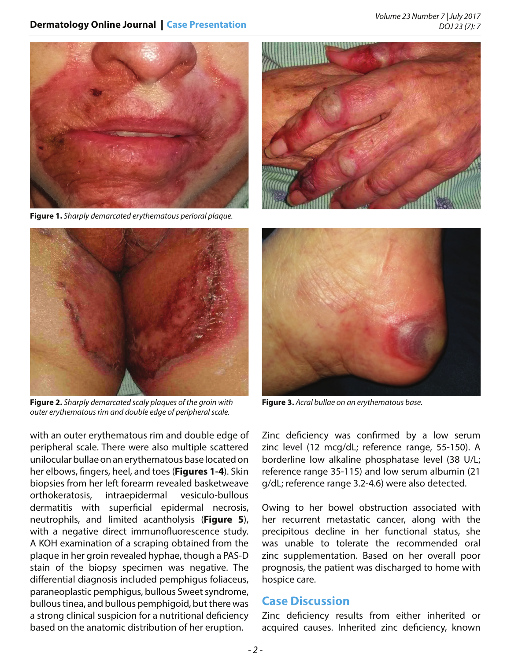#### **Dermatology Online Journal** || **Case Presentation**



**Figure 1.** *Sharply demarcated erythematous perioral plaque.*





**Figure 2.** *Sharply demarcated scaly plaques of the groin with outer erythematous rim and double edge of peripheral scale.*

with an outer erythematous rim and double edge of peripheral scale. There were also multiple scattered unilocular bullae on an erythematous base located on her elbows, fingers, heel, and toes (**Figures 1-4**). Skin biopsies from her left forearm revealed basketweave orthokeratosis, intraepidermal vesiculo-bullous dermatitis with superficial epidermal necrosis, neutrophils, and limited acantholysis (**Figure 5**), with a negative direct immunofluorescence study. A KOH examination of a scraping obtained from the plaque in her groin revealed hyphae, though a PAS-D stain of the biopsy specimen was negative. The differential diagnosis included pemphigus foliaceus, paraneoplastic pemphigus, bullous Sweet syndrome, bullous tinea, and bullous pemphigoid, but there was a strong clinical suspicion for a nutritional deficiency based on the anatomic distribution of her eruption.



**Figure 3.** *Acral bullae on an erythematous base.*

Zinc deficiency was confirmed by a low serum zinc level (12 mcg/dL; reference range, 55-150). A borderline low alkaline phosphatase level (38 U/L; reference range 35-115) and low serum albumin (21 g/dL; reference range 3.2-4.6) were also detected.

Owing to her bowel obstruction associated with her recurrent metastatic cancer, along with the precipitous decline in her functional status, she was unable to tolerate the recommended oral zinc supplementation. Based on her overall poor prognosis, the patient was discharged to home with hospice care.

### **Case Discussion**

Zinc deficiency results from either inherited or acquired causes. Inherited zinc deficiency, known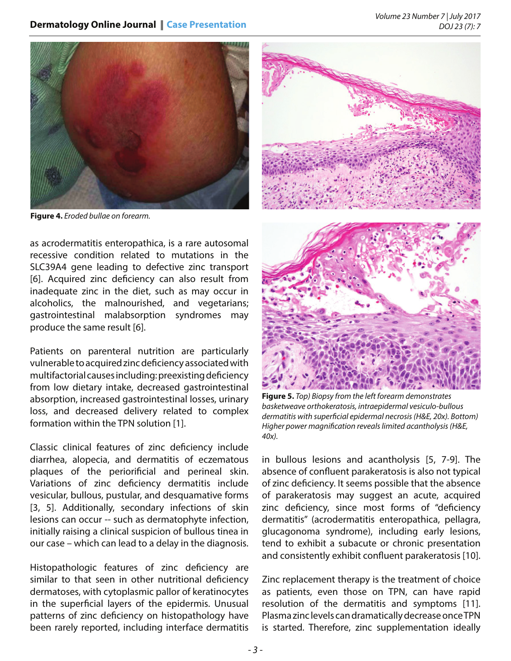

**Figure 4.** *Eroded bullae on forearm.*

as acrodermatitis enteropathica, is a rare autosomal recessive condition related to mutations in the SLC39A4 gene leading to defective zinc transport [6]. Acquired zinc deficiency can also result from inadequate zinc in the diet, such as may occur in alcoholics, the malnourished, and vegetarians; gastrointestinal malabsorption syndromes may produce the same result [6].

Patients on parenteral nutrition are particularly vulnerable to acquired zinc deficiency associated with multifactorial causes including: preexisting deficiency from low dietary intake, decreased gastrointestinal absorption, increased gastrointestinal losses, urinary loss, and decreased delivery related to complex formation within the TPN solution [1].

Classic clinical features of zinc deficiency include diarrhea, alopecia, and dermatitis of eczematous plaques of the periorificial and perineal skin. Variations of zinc deficiency dermatitis include vesicular, bullous, pustular, and desquamative forms [3, 5]. Additionally, secondary infections of skin lesions can occur -- such as dermatophyte infection, initially raising a clinical suspicion of bullous tinea in our case – which can lead to a delay in the diagnosis.

Histopathologic features of zinc deficiency are similar to that seen in other nutritional deficiency dermatoses, with cytoplasmic pallor of keratinocytes in the superficial layers of the epidermis. Unusual patterns of zinc deficiency on histopathology have been rarely reported, including interface dermatitis



**Figure 5.** *Top) Biopsy from the left forearm demonstrates basketweave orthokeratosis, intraepidermal vesiculo-bullous dermatitis with superficial epidermal necrosis (H&E, 20x). Bottom) Higher power magnification reveals limited acantholysis (H&E, 40x).*

in bullous lesions and acantholysis [5, 7-9]. The absence of confluent parakeratosis is also not typical of zinc deficiency. It seems possible that the absence of parakeratosis may suggest an acute, acquired zinc deficiency, since most forms of "deficiency dermatitis" (acrodermatitis enteropathica, pellagra, glucagonoma syndrome), including early lesions, tend to exhibit a subacute or chronic presentation and consistently exhibit confluent parakeratosis [10].

Zinc replacement therapy is the treatment of choice as patients, even those on TPN, can have rapid resolution of the dermatitis and symptoms [11]. Plasma zinc levels can dramatically decrease once TPN is started. Therefore, zinc supplementation ideally